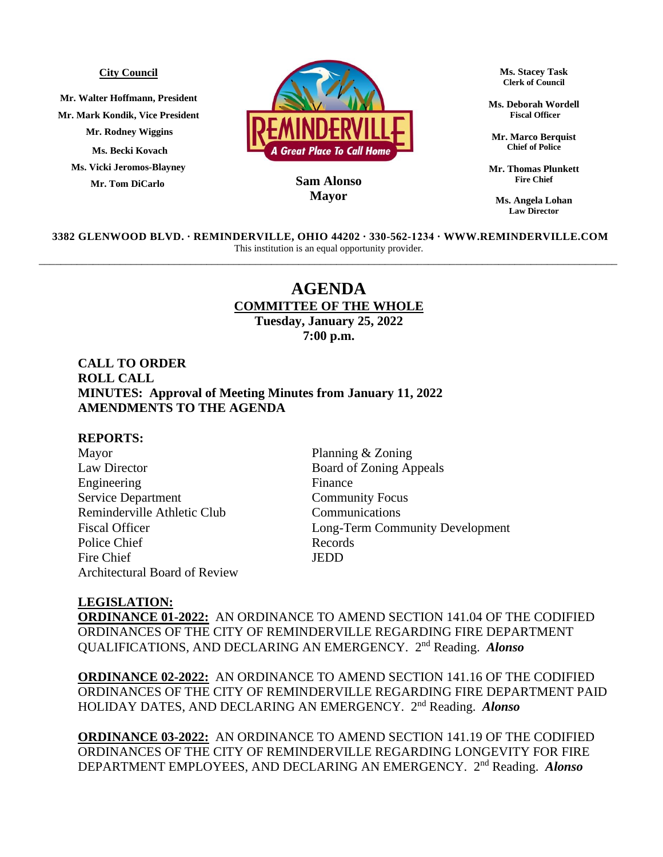#### **City Council**

**Mr. Walter Hoffmann, President Mr. Mark Kondik, Vice President Mr. Rodney Wiggins Ms. Becki Kovach Ms. Vicki Jeromos-Blayney Mr. Tom DiCarlo**



## **MayorSam Alonso**

**Ms. Stacey Task Clerk of Council**

**Ms. Deborah Wordell Fiscal Officer**

**Mr. Marco Berquist Chief of Police**

**Mr. Thomas Plunkett Fire Chief**

**Ms. Angela Lohan Law Director**

**3382 GLENWOOD BLVD. ∙ REMINDERVILLE, OHIO 44202 ∙ 330-562-1234 ∙ WWW.REMINDERVILLE.COM**  This institution is an equal opportunity provider. \_\_\_\_\_\_\_\_\_\_\_\_\_\_\_\_\_\_\_\_\_\_\_\_\_\_\_\_\_\_\_\_\_\_\_\_\_\_\_\_\_\_\_\_\_\_\_\_\_\_\_\_\_\_\_\_\_\_\_\_\_\_\_\_\_\_\_\_\_\_\_\_\_\_\_\_\_\_\_\_\_\_\_\_\_\_\_\_\_\_\_\_\_\_\_\_\_\_\_\_\_\_\_\_\_\_\_

# **AGENDA COMMITTEE OF THE WHOLE Tuesday, January 25, 2022**

**7:00 p.m.**

## **CALL TO ORDER ROLL CALL MINUTES: Approval of Meeting Minutes from January 11, 2022 AMENDMENTS TO THE AGENDA**

### **REPORTS:**

Mayor Planning & Zoning Law Director Board of Zoning Appeals Engineering Finance Service Department Community Focus Reminderville Athletic Club Communications Police Chief Records Fire Chief JEDD Architectural Board of Review

Fiscal Officer Long-Term Community Development

#### **LEGISLATION:**

**ORDINANCE 01-2022:** AN ORDINANCE TO AMEND SECTION 141.04 OF THE CODIFIED ORDINANCES OF THE CITY OF REMINDERVILLE REGARDING FIRE DEPARTMENT QUALIFICATIONS, AND DECLARING AN EMERGENCY. 2<sup>nd</sup> Reading. Alonso

**ORDINANCE 02-2022:** AN ORDINANCE TO AMEND SECTION 141.16 OF THE CODIFIED ORDINANCES OF THE CITY OF REMINDERVILLE REGARDING FIRE DEPARTMENT PAID HOLIDAY DATES, AND DECLARING AN EMERGENCY. 2<sup>nd</sup> Reading. Alonso

**ORDINANCE 03-2022:** AN ORDINANCE TO AMEND SECTION 141.19 OF THE CODIFIED ORDINANCES OF THE CITY OF REMINDERVILLE REGARDING LONGEVITY FOR FIRE DEPARTMENT EMPLOYEES, AND DECLARING AN EMERGENCY. 2<sup>nd</sup> Reading. *Alonso*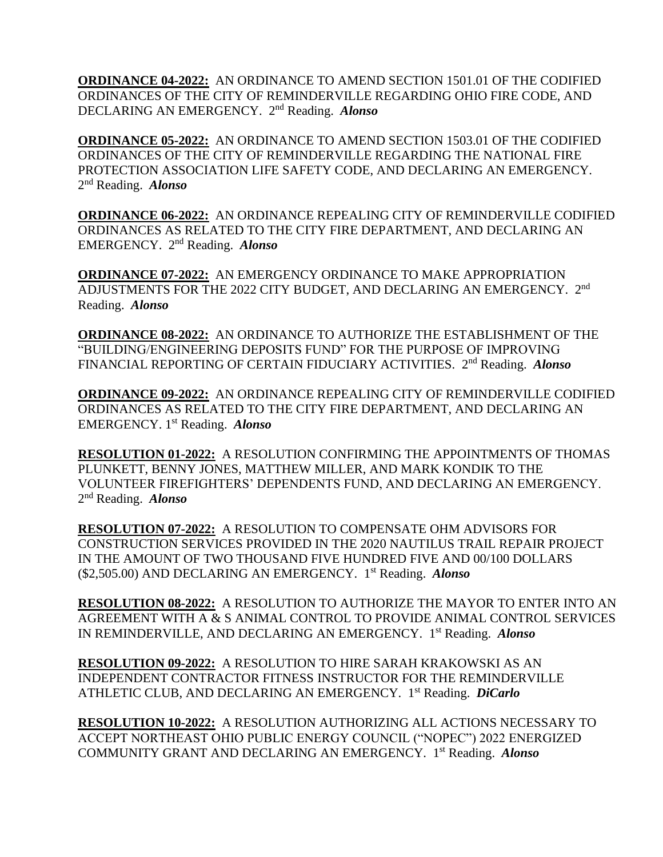**ORDINANCE 04-2022:** AN ORDINANCE TO AMEND SECTION 1501.01 OF THE CODIFIED ORDINANCES OF THE CITY OF REMINDERVILLE REGARDING OHIO FIRE CODE, AND DECLARING AN EMERGENCY. 2<sup>nd</sup> Reading. *Alonso* 

**ORDINANCE 05-2022:** AN ORDINANCE TO AMEND SECTION 1503.01 OF THE CODIFIED ORDINANCES OF THE CITY OF REMINDERVILLE REGARDING THE NATIONAL FIRE PROTECTION ASSOCIATION LIFE SAFETY CODE, AND DECLARING AN EMERGENCY. 2 nd Reading. *Alonso* 

**ORDINANCE 06-2022:** AN ORDINANCE REPEALING CITY OF REMINDERVILLE CODIFIED ORDINANCES AS RELATED TO THE CITY FIRE DEPARTMENT, AND DECLARING AN EMERGENCY. 2 nd Reading. *Alonso* 

**ORDINANCE 07-2022:** AN EMERGENCY ORDINANCE TO MAKE APPROPRIATION ADJUSTMENTS FOR THE 2022 CITY BUDGET, AND DECLARING AN EMERGENCY. 2<sup>nd</sup> Reading. *Alonso*

**ORDINANCE 08-2022:** AN ORDINANCE TO AUTHORIZE THE ESTABLISHMENT OF THE "BUILDING/ENGINEERING DEPOSITS FUND" FOR THE PURPOSE OF IMPROVING FINANCIAL REPORTING OF CERTAIN FIDUCIARY ACTIVITIES. 2<sup>nd</sup> Reading. Alonso

**ORDINANCE 09-2022:** AN ORDINANCE REPEALING CITY OF REMINDERVILLE CODIFIED ORDINANCES AS RELATED TO THE CITY FIRE DEPARTMENT, AND DECLARING AN EMERGENCY. 1 st Reading. *Alonso*

**RESOLUTION 01-2022:** A RESOLUTION CONFIRMING THE APPOINTMENTS OF THOMAS PLUNKETT, BENNY JONES, MATTHEW MILLER, AND MARK KONDIK TO THE VOLUNTEER FIREFIGHTERS' DEPENDENTS FUND, AND DECLARING AN EMERGENCY. 2 nd Reading. *Alonso* 

**RESOLUTION 07-2022:** A RESOLUTION TO COMPENSATE OHM ADVISORS FOR CONSTRUCTION SERVICES PROVIDED IN THE 2020 NAUTILUS TRAIL REPAIR PROJECT IN THE AMOUNT OF TWO THOUSAND FIVE HUNDRED FIVE AND 00/100 DOLLARS (\$2,505.00) AND DECLARING AN EMERGENCY. 1 st Reading. *Alonso*

**RESOLUTION 08-2022:** A RESOLUTION TO AUTHORIZE THE MAYOR TO ENTER INTO AN AGREEMENT WITH A & S ANIMAL CONTROL TO PROVIDE ANIMAL CONTROL SERVICES IN REMINDERVILLE, AND DECLARING AN EMERGENCY. 1 st Reading. *Alonso*

**RESOLUTION 09-2022:** A RESOLUTION TO HIRE SARAH KRAKOWSKI AS AN INDEPENDENT CONTRACTOR FITNESS INSTRUCTOR FOR THE REMINDERVILLE ATHLETIC CLUB, AND DECLARING AN EMERGENCY. 1 st Reading. *DiCarlo*

**RESOLUTION 10-2022:** A RESOLUTION AUTHORIZING ALL ACTIONS NECESSARY TO ACCEPT NORTHEAST OHIO PUBLIC ENERGY COUNCIL ("NOPEC") 2022 ENERGIZED COMMUNITY GRANT AND DECLARING AN EMERGENCY. 1 st Reading. *Alonso*